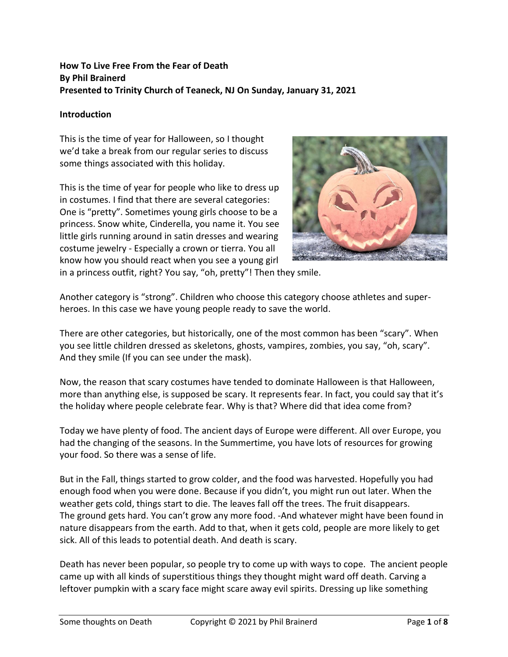# **How To Live Free From the Fear of Death By Phil Brainerd Presented to Trinity Church of Teaneck, NJ On Sunday, January 31, 2021**

## **Introduction**

This is the time of year for Halloween, so I thought we'd take a break from our regular series to discuss some things associated with this holiday.

This is the time of year for people who like to dress up in costumes. I find that there are several categories: One is "pretty". Sometimes young girls choose to be a princess. Snow white, Cinderella, you name it. You see little girls running around in satin dresses and wearing costume jewelry - Especially a crown or tierra. You all know how you should react when you see a young girl



in a princess outfit, right? You say, "oh, pretty"! Then they smile.

Another category is "strong". Children who choose this category choose athletes and superheroes. In this case we have young people ready to save the world.

There are other categories, but historically, one of the most common has been "scary". When you see little children dressed as skeletons, ghosts, vampires, zombies, you say, "oh, scary". And they smile (If you can see under the mask).

Now, the reason that scary costumes have tended to dominate Halloween is that Halloween, more than anything else, is supposed be scary. It represents fear. In fact, you could say that it's the holiday where people celebrate fear. Why is that? Where did that idea come from?

Today we have plenty of food. The ancient days of Europe were different. All over Europe, you had the changing of the seasons. In the Summertime, you have lots of resources for growing your food. So there was a sense of life.

But in the Fall, things started to grow colder, and the food was harvested. Hopefully you had enough food when you were done. Because if you didn't, you might run out later. When the weather gets cold, things start to die. The leaves fall off the trees. The fruit disappears. The ground gets hard. You can't grow any more food. -And whatever might have been found in nature disappears from the earth. Add to that, when it gets cold, people are more likely to get sick. All of this leads to potential death. And death is scary.

Death has never been popular, so people try to come up with ways to cope. The ancient people came up with all kinds of superstitious things they thought might ward off death. Carving a leftover pumpkin with a scary face might scare away evil spirits. Dressing up like something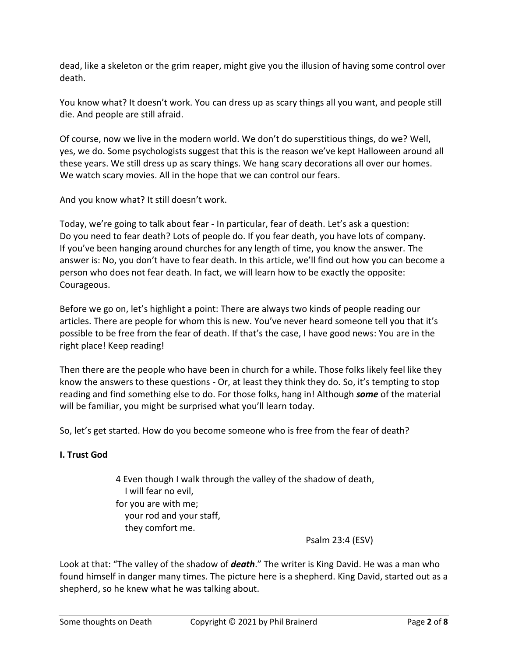dead, like a skeleton or the grim reaper, might give you the illusion of having some control over death.

You know what? It doesn't work. You can dress up as scary things all you want, and people still die. And people are still afraid.

Of course, now we live in the modern world. We don't do superstitious things, do we? Well, yes, we do. Some psychologists suggest that this is the reason we've kept Halloween around all these years. We still dress up as scary things. We hang scary decorations all over our homes. We watch scary movies. All in the hope that we can control our fears.

And you know what? It still doesn't work.

Today, we're going to talk about fear - In particular, fear of death. Let's ask a question: Do you need to fear death? Lots of people do. If you fear death, you have lots of company. If you've been hanging around churches for any length of time, you know the answer. The answer is: No, you don't have to fear death. In this article, we'll find out how you can become a person who does not fear death. In fact, we will learn how to be exactly the opposite: Courageous.

Before we go on, let's highlight a point: There are always two kinds of people reading our articles. There are people for whom this is new. You've never heard someone tell you that it's possible to be free from the fear of death. If that's the case, I have good news: You are in the right place! Keep reading!

Then there are the people who have been in church for a while. Those folks likely feel like they know the answers to these questions - Or, at least they think they do. So, it's tempting to stop reading and find something else to do. For those folks, hang in! Although *some* of the material will be familiar, you might be surprised what you'll learn today.

So, let's get started. How do you become someone who is free from the fear of death?

## **I. Trust God**

4 Even though I walk through the valley of the shadow of death, I will fear no evil, for you are with me; your rod and your staff, they comfort me.

Psalm 23:4 (ESV)

Look at that: "The valley of the shadow of *death*." The writer is King David. He was a man who found himself in danger many times. The picture here is a shepherd. King David, started out as a shepherd, so he knew what he was talking about.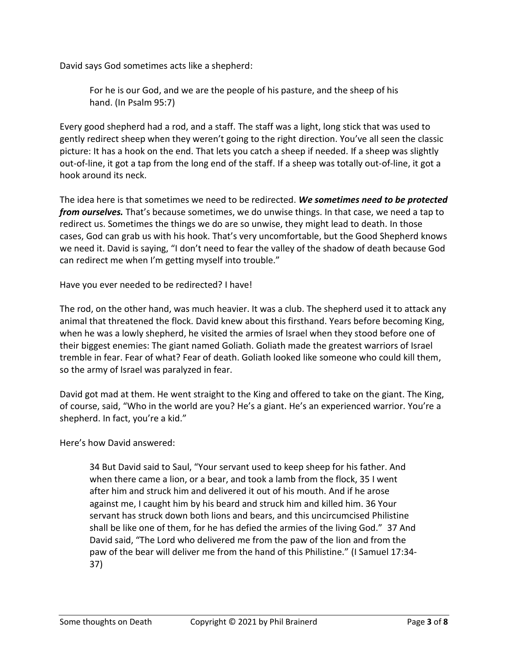David says God sometimes acts like a shepherd:

For he is our God, and we are the people of his pasture, and the sheep of his hand. (In Psalm 95:7)

Every good shepherd had a rod, and a staff. The staff was a light, long stick that was used to gently redirect sheep when they weren't going to the right direction. You've all seen the classic picture: It has a hook on the end. That lets you catch a sheep if needed. If a sheep was slightly out-of-line, it got a tap from the long end of the staff. If a sheep was totally out-of-line, it got a hook around its neck.

The idea here is that sometimes we need to be redirected. *We sometimes need to be protected from ourselves.* That's because sometimes, we do unwise things. In that case, we need a tap to redirect us. Sometimes the things we do are so unwise, they might lead to death. In those cases, God can grab us with his hook. That's very uncomfortable, but the Good Shepherd knows we need it. David is saying, "I don't need to fear the valley of the shadow of death because God can redirect me when I'm getting myself into trouble."

Have you ever needed to be redirected? I have!

The rod, on the other hand, was much heavier. It was a club. The shepherd used it to attack any animal that threatened the flock. David knew about this firsthand. Years before becoming King, when he was a lowly shepherd, he visited the armies of Israel when they stood before one of their biggest enemies: The giant named Goliath. Goliath made the greatest warriors of Israel tremble in fear. Fear of what? Fear of death. Goliath looked like someone who could kill them, so the army of Israel was paralyzed in fear.

David got mad at them. He went straight to the King and offered to take on the giant. The King, of course, said, "Who in the world are you? He's a giant. He's an experienced warrior. You're a shepherd. In fact, you're a kid."

Here's how David answered:

34 But David said to Saul, "Your servant used to keep sheep for his father. And when there came a lion, or a bear, and took a lamb from the flock, 35 I went after him and struck him and delivered it out of his mouth. And if he arose against me, I caught him by his beard and struck him and killed him. 36 Your servant has struck down both lions and bears, and this uncircumcised Philistine shall be like one of them, for he has defied the armies of the living God." 37 And David said, "The Lord who delivered me from the paw of the lion and from the paw of the bear will deliver me from the hand of this Philistine." (I Samuel 17:34- 37)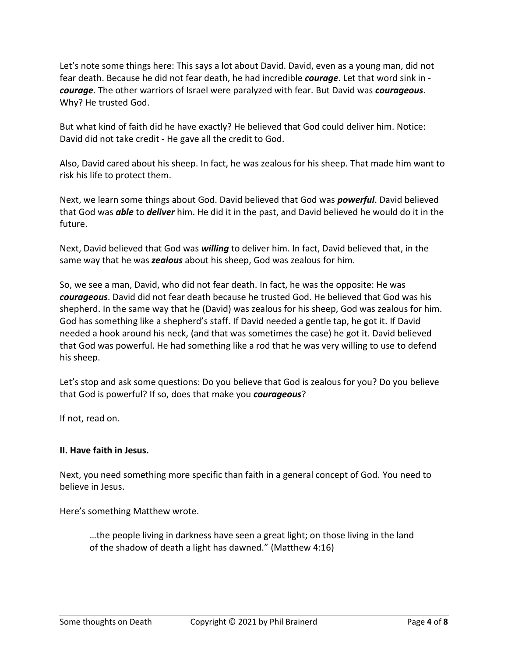Let's note some things here: This says a lot about David. David, even as a young man, did not fear death. Because he did not fear death, he had incredible *courage*. Let that word sink in *courage*. The other warriors of Israel were paralyzed with fear. But David was *courageous*. Why? He trusted God.

But what kind of faith did he have exactly? He believed that God could deliver him. Notice: David did not take credit - He gave all the credit to God.

Also, David cared about his sheep. In fact, he was zealous for his sheep. That made him want to risk his life to protect them.

Next, we learn some things about God. David believed that God was *powerful*. David believed that God was *able* to *deliver* him. He did it in the past, and David believed he would do it in the future.

Next, David believed that God was *willing* to deliver him. In fact, David believed that, in the same way that he was *zealous* about his sheep, God was zealous for him.

So, we see a man, David, who did not fear death. In fact, he was the opposite: He was *courageous*. David did not fear death because he trusted God. He believed that God was his shepherd. In the same way that he (David) was zealous for his sheep, God was zealous for him. God has something like a shepherd's staff. If David needed a gentle tap, he got it. If David needed a hook around his neck, (and that was sometimes the case) he got it. David believed that God was powerful. He had something like a rod that he was very willing to use to defend his sheep.

Let's stop and ask some questions: Do you believe that God is zealous for you? Do you believe that God is powerful? If so, does that make you *courageous*?

If not, read on.

### **II. Have faith in Jesus.**

Next, you need something more specific than faith in a general concept of God. You need to believe in Jesus.

Here's something Matthew wrote.

…the people living in darkness have seen a great light; on those living in the land of the shadow of death a light has dawned." (Matthew 4:16)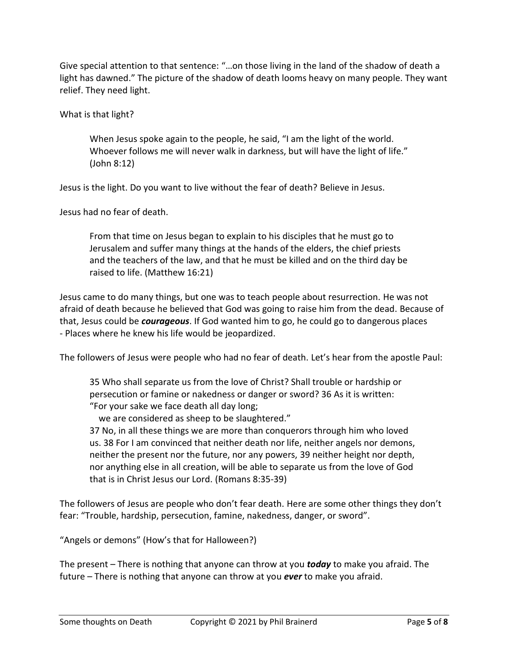Give special attention to that sentence: "…on those living in the land of the shadow of death a light has dawned." The picture of the shadow of death looms heavy on many people. They want relief. They need light.

What is that light?

When Jesus spoke again to the people, he said, "I am the light of the world. Whoever follows me will never walk in darkness, but will have the light of life." (John 8:12)

Jesus is the light. Do you want to live without the fear of death? Believe in Jesus.

Jesus had no fear of death.

From that time on Jesus began to explain to his disciples that he must go to Jerusalem and suffer many things at the hands of the elders, the chief priests and the teachers of the law, and that he must be killed and on the third day be raised to life. (Matthew 16:21)

Jesus came to do many things, but one was to teach people about resurrection. He was not afraid of death because he believed that God was going to raise him from the dead. Because of that, Jesus could be *courageous*. If God wanted him to go, he could go to dangerous places - Places where he knew his life would be jeopardized.

The followers of Jesus were people who had no fear of death. Let's hear from the apostle Paul:

35 Who shall separate us from the love of Christ? Shall trouble or hardship or persecution or famine or nakedness or danger or sword? 36 As it is written: "For your sake we face death all day long;

we are considered as sheep to be slaughtered."

37 No, in all these things we are more than conquerors through him who loved us. 38 For I am convinced that neither death nor life, neither angels nor demons, neither the present nor the future, nor any powers, 39 neither height nor depth, nor anything else in all creation, will be able to separate us from the love of God that is in Christ Jesus our Lord. (Romans 8:35-39)

The followers of Jesus are people who don't fear death. Here are some other things they don't fear: "Trouble, hardship, persecution, famine, nakedness, danger, or sword".

"Angels or demons" (How's that for Halloween?)

The present – There is nothing that anyone can throw at you *today* to make you afraid. The future – There is nothing that anyone can throw at you *ever* to make you afraid.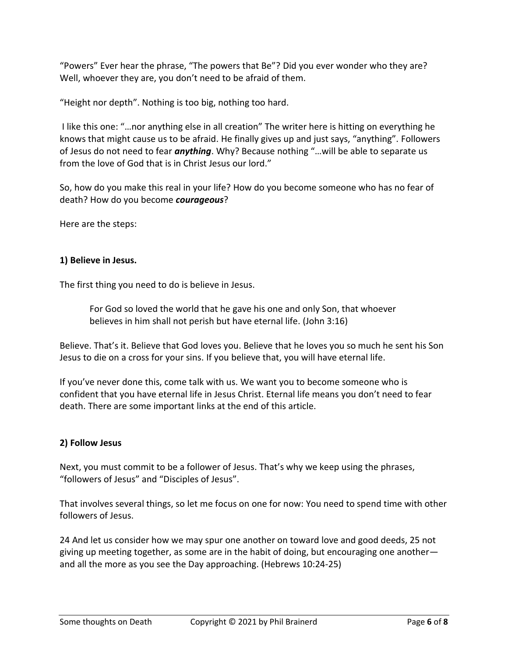"Powers" Ever hear the phrase, "The powers that Be"? Did you ever wonder who they are? Well, whoever they are, you don't need to be afraid of them.

"Height nor depth". Nothing is too big, nothing too hard.

I like this one: "…nor anything else in all creation" The writer here is hitting on everything he knows that might cause us to be afraid. He finally gives up and just says, "anything". Followers of Jesus do not need to fear *anything*. Why? Because nothing "…will be able to separate us from the love of God that is in Christ Jesus our lord."

So, how do you make this real in your life? How do you become someone who has no fear of death? How do you become *courageous*?

Here are the steps:

### **1) Believe in Jesus.**

The first thing you need to do is believe in Jesus.

For God so loved the world that he gave his one and only Son, that whoever believes in him shall not perish but have eternal life. (John 3:16)

Believe. That's it. Believe that God loves you. Believe that he loves you so much he sent his Son Jesus to die on a cross for your sins. If you believe that, you will have eternal life.

If you've never done this, come talk with us. We want you to become someone who is confident that you have eternal life in Jesus Christ. Eternal life means you don't need to fear death. There are some important links at the end of this article.

### **2) Follow Jesus**

Next, you must commit to be a follower of Jesus. That's why we keep using the phrases, "followers of Jesus" and "Disciples of Jesus".

That involves several things, so let me focus on one for now: You need to spend time with other followers of Jesus.

24 And let us consider how we may spur one another on toward love and good deeds, 25 not giving up meeting together, as some are in the habit of doing, but encouraging one another and all the more as you see the Day approaching. (Hebrews 10:24-25)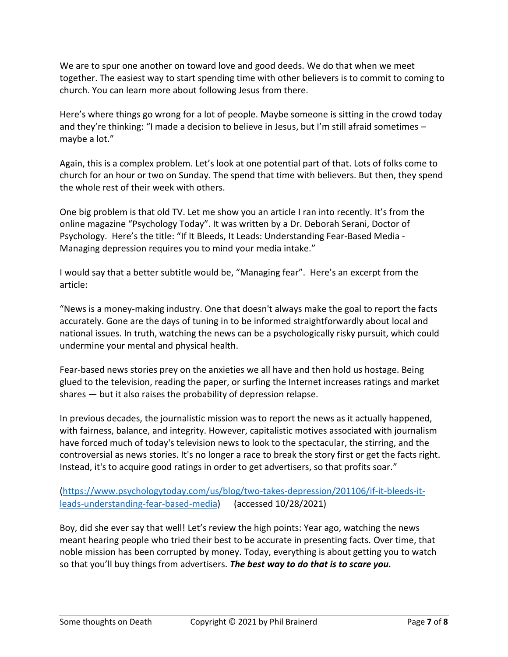We are to spur one another on toward love and good deeds. We do that when we meet together. The easiest way to start spending time with other believers is to commit to coming to church. You can learn more about following Jesus from there.

Here's where things go wrong for a lot of people. Maybe someone is sitting in the crowd today and they're thinking: "I made a decision to believe in Jesus, but I'm still afraid sometimes – maybe a lot."

Again, this is a complex problem. Let's look at one potential part of that. Lots of folks come to church for an hour or two on Sunday. The spend that time with believers. But then, they spend the whole rest of their week with others.

One big problem is that old TV. Let me show you an article I ran into recently. It's from the online magazine "Psychology Today". It was written by a Dr. Deborah Serani, Doctor of Psychology. Here's the title: "If It Bleeds, It Leads: Understanding Fear-Based Media - Managing depression requires you to mind your media intake."

I would say that a better subtitle would be, "Managing fear". Here's an excerpt from the article:

"News is a money-making industry. One that doesn't always make the goal to report the facts accurately. Gone are the days of tuning in to be informed straightforwardly about local and national issues. In truth, watching the news can be a psychologically risky pursuit, which could undermine your mental and physical health.

Fear-based news stories prey on the anxieties we all have and then hold us hostage. Being glued to the television, reading the paper, or surfing the Internet increases ratings and market shares — but it also raises the probability of depression relapse.

In previous decades, the journalistic mission was to report the news as it actually happened, with fairness, balance, and integrity. However, capitalistic motives associated with journalism have forced much of today's television news to look to the spectacular, the stirring, and the controversial as news stories. It's no longer a race to break the story first or get the facts right. Instead, it's to acquire good ratings in order to get advertisers, so that profits soar."

[\(https://www.psychologytoday.com/us/blog/two-takes-depression/201106/if-it-bleeds-it](https://www.psychologytoday.com/us/blog/two-takes-depression/201106/if-it-bleeds-it-leads-understanding-fear-based-media)[leads-understanding-fear-based-media\)](https://www.psychologytoday.com/us/blog/two-takes-depression/201106/if-it-bleeds-it-leads-understanding-fear-based-media) (accessed 10/28/2021)

Boy, did she ever say that well! Let's review the high points: Year ago, watching the news meant hearing people who tried their best to be accurate in presenting facts. Over time, that noble mission has been corrupted by money. Today, everything is about getting you to watch so that you'll buy things from advertisers. *The best way to do that is to scare you.*